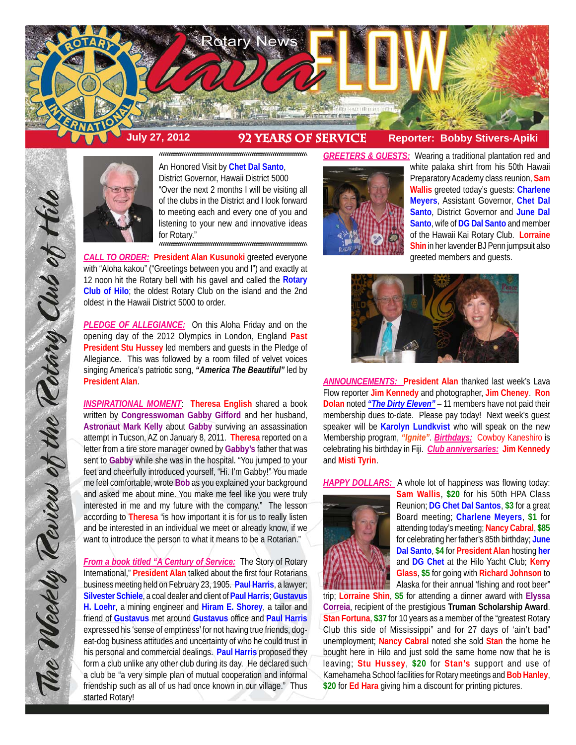

# **July 27, 2012 92 Years of service Reporter: Bobby Stivers-Apiki**



An Honored Visit by **Chet Dal Santo**, District Governor, Hawaii District 5000 "Over the next 2 months I will be visiting all of the clubs in the District and I look forward to meeting each and every one of you and listening to your new and innovative ideas for Rotary."

^^^^^^^^^^^^^^^^^^^^^^^^^^^^^^^^^^^^^^^^^^^^^^^^^^^^^^^^^^^^^^^^^^^^^^^

^^^^^^^^^^^^^^^^^^^^^^^^^^^^^^^^^^^^^^^^^^^^^^^^^^^^^^^^^^^^^^^^^^^^^^^

*CALL TO ORDER:* **President Alan Kusunoki** greeted everyone with "Aloha kakou" ("Greetings between you and I") and exactly at 12 noon hit the Rotary bell with his gavel and called the **Rotary Club of Hilo**; the oldest Rotary Club on the island and the 2nd oldest in the Hawaii District 5000 to order.

*PLEDGE OF ALLEGIANCE:* On this Aloha Friday and on the opening day of the 2012 Olympics in London, England **Past President Stu Hussey** led members and guests in the Pledge of Allegiance. This was followed by a room filled of velvet voices singing America's patriotic song, *"America The Beautiful"* led by **President Alan**.

*INSPIRATIONAL MOMENT*: **Theresa English** shared a book written by **Congresswoman Gabby Gifford** and her husband, **Astronaut Mark Kelly** about **Gabby** surviving an assassination attempt in Tucson, AZ on January 8, 2011. **Theresa** reported on a letter from a tire store manager owned by **Gabby's** father that was sent to **Gabby** while she was in the hospital. "You jumped to your feet and cheerfully introduced yourself, "Hi. I'm Gabby!" You made me feel comfortable, wrote **Bob** as you explained your background and asked me about mine. You make me feel like you were truly interested in me and my future with the company." The lesson according to **Theresa** "is how important it is for us to really listen and be interested in an individual we meet or already know, if we want to introduce the person to what it means to be a Rotarian."

*From a book titled "A Century of Service:* The Story of Rotary International," **President Alan** talked about the first four Rotarians business meeting held on February 23, 1905. **Paul Harris**, a lawyer; **Silvester Schiele**, a coal dealer and client of **Paul Harris**; **Gustavus H. Loehr**, a mining engineer and **Hiram E. Shorey**, a tailor and friend of **Gustavus** met around **Gustavus** office and **Paul Harris** expressed his 'sense of emptiness' for not having true friends, dogeat-dog business attitudes and uncertainty of who he could trust in his personal and commercial dealings. **Paul Harris** proposed they form a club unlike any other club during its day. He declared such a club be "a very simple plan of mutual cooperation and informal friendship such as all of us had once known in our village." Thus started Rotary!



*GREETERS & GUESTS:* Wearing a traditional plantation red and white palaka shirt from his 50th Hawaii Preparatory Academy class reunion, **Sam Wallis** greeted today's guests: **Charlene Meyers**, Assistant Governor, **Chet Dal Santo**, District Governor and **June Dal Santo**, wife of **DG Dal Santo** and member of the Hawaii Kai Rotary Club. **Lorraine Shin** in her lavender BJ Penn jumpsuit also greeted members and guests.



*ANNOUNCEMENTS:* **President Alan** thanked last week's Lava Flow reporter **Jim Kennedy** and photographer, **Jim Cheney**. **Ron Dolan** noted *"The Dirty Eleven"* – 11 members have not paid their membership dues to-date. Please pay today! Next week's guest speaker will be **Karolyn Lundkvist** who will speak on the new Membership program, *"Ignite"*. *Birthdays:* Cowboy Kaneshiro is celebrating his birthday in Fiji. *Club anniversaries:* **Jim Kennedy** and **Misti Tyrin**.

*HAPPY DOLLARS:* A whole lot of happiness was flowing today:



**Sam Wallis**, **\$20** for his 50th HPA Class Reunion; **DG Chet Dal Santos**, **\$3** for a great Board meeting; **Charlene Meyers**, **\$1** for attending today's meeting; **Nancy Cabral**, **\$85** for celebrating her father's 85th birthday; **June Dal Santo**, **\$4** for **President Alan** hosting **her** and **DG Chet** at the Hilo Yacht Club; **Kerry Glass**, **\$5** for going with **Richard Johnson** to Alaska for their annual 'fishing and root beer"

trip; **Lorraine Shin**, **\$5** for attending a dinner award with **Elyssa Correia**, recipient of the prestigious **Truman Scholarship Award**. **Stan Fortuna**, **\$37** for 10 years as a member of the "greatest Rotary Club this side of Mississippi" and for 27 days of 'ain't bad" unemployment; **Nancy Cabral** noted she sold **Stan** the home he bought here in Hilo and just sold the same home now that he is leaving; **Stu Hussey**, **\$20** for **Stan's** support and use of Kamehameha School facilities for Rotary meetings and **Bob Hanley**, **\$20** for **Ed Hara** giving him a discount for printing pictures.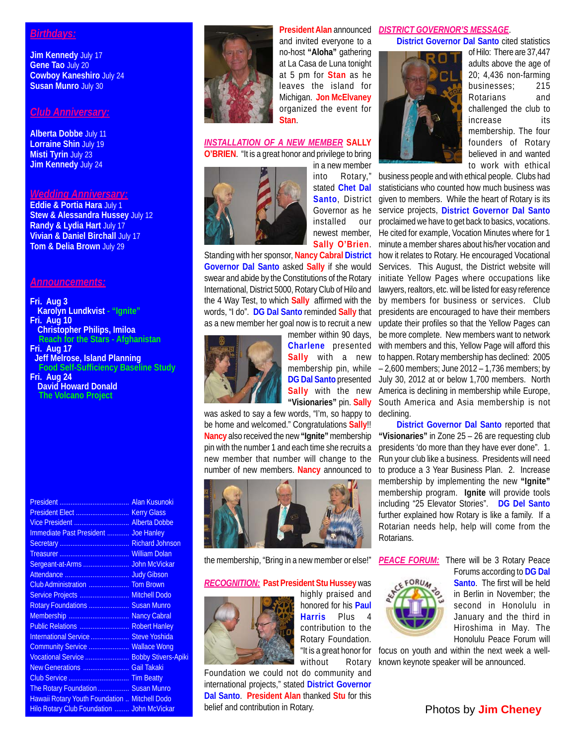## *Birthdays:*

**Jim Kennedy** July 17 **Gene Tao** July 20 **Cowboy Kaneshiro** July 24 **Susan Munro** July 30

## *Club Anniversary:*

**Alberta Dobbe** July 11 **Lorraine Shin** July 19 **Misti Tyrin** July 23 **Jim Kennedy** July 24

#### *Wedding Anniversary:*

**Eddie & Portia Hara** July 1 **Stew & Alessandra Hussey** July 12 **Randy & Lydia Hart** July 17 **Vivian & Daniel Birchall** July 17 **Tom & Delia Brown** July 29

#### *Announcements:*

**Fri. Aug 3 Karolyn Lundkvist - "Ignite" Fri. Aug 10 Christopher Philips, Imiloa Reach for the Stars - Afghanistan Fri. Aug 17 Jeff Melrose, Island Planning Food Self-Sufficiency Baseline Study**

**Fri. Aug 24 David Howard Donald The Volcano Project**

| Immediate Past President  Joe Hanley                 |  |
|------------------------------------------------------|--|
|                                                      |  |
|                                                      |  |
|                                                      |  |
|                                                      |  |
|                                                      |  |
| Service Projects  Mitchell Dodo                      |  |
| Rotary Foundations  Susan Munro                      |  |
| Membership  Nancy Cabral                             |  |
| Public Relations  Robert Hanley                      |  |
| International Service  Steve Yoshida                 |  |
| Community Service  Wallace Wong                      |  |
| Vocational Service  Bobby Stivers-Apiki              |  |
| New Generations  Gail Takaki                         |  |
|                                                      |  |
| The Rotary Foundation  Susan Munro                   |  |
| <b>Hawaii Rotary Youth Foundation  Mitchell Dodo</b> |  |
| <b>Hilo Rotary Club Foundation  John McVickar</b>    |  |



**President Alan** announced and invited everyone to a no-host **"Aloha"** gathering at La Casa de Luna tonight at 5 pm for **Stan** as he leaves the island for Michigan. **Jon McElvaney** organized the event for **Stan**.

### *INSTALLATION OF A NEW MEMBER* **SALLY O'BRIEN**. "It is a great honor and privilege to bring



in a new member into Rotary," stated **Chet Dal Santo**, District Governor as he installed our newest member, **Sally O'Brien**.

Standing with her sponsor, **Nancy Cabral District Governor Dal Santo** asked **Sally** if she would swear and abide by the Constitutions of the Rotary International, District 5000, Rotary Club of Hilo and the 4 Way Test, to which **Sally** affirmed with the words, "I do". **DG Dal Santo** reminded **Sally** that as a new member her goal now is to recruit a new



member within 90 days, **Charlene** presented **Sally** with a new membership pin, while **"Visionaries"** pin. **Sally**

was asked to say a few words, "I'm, so happy to be home and welcomed." Congratulations **Sally**!! **Nancy** also received the new **"Ignite"** membership pin with the number 1 and each time she recruits a new member that number will change to the number of new members. **Nancy** announced to



the membership, "Bring in a new member or else!"

#### *RECOGNITION:* **Past President Stu Hussey** was



highly praised and honored for his **Paul Harris** Plus 4 contribution to the Rotary Foundation. "It is a great honor for without Rotary

Foundation we could not do community and international projects," stated **District Governor Dal Santo**. **President Alan** thanked **Stu** for this belief and contribution in Rotary.

## *DISTRICT GOVERNOR'S MESSAGE*.

**District Governor Dal Santo** cited statistics



of Hilo: There are 37,447 adults above the age of 20; 4,436 non-farming businesses; 215 Rotarians and challenged the club to increase its membership. The four founders of Rotary believed in and wanted to work with ethical

DG Dal Santo presented July 30, 2012 at or below 1,700 members. North Sally with the new America is declining in membership while Europe, business people and with ethical people. Clubs had statisticians who counted how much business was given to members. While the heart of Rotary is its service projects, **District Governor Dal Santo** proclaimed we have to get back to basics, vocations. He cited for example, Vocation Minutes where for 1 minute a member shares about his/her vocation and how it relates to Rotary. He encouraged Vocational Services. This August, the District website will initiate Yellow Pages where occupations like lawyers, realtors, etc. will be listed for easy reference by members for business or services. Club presidents are encouraged to have their members update their profiles so that the Yellow Pages can be more complete. New members want to network with members and this, Yellow Page will afford this to happen. Rotary membership has declined: 2005 – 2,600 members; June 2012 – 1,736 members; by South America and Asia membership is not declining.

> **District Governor Dal Santo** reported that **"Visionaries"** in Zone 25 – 26 are requesting club presidents 'do more than they have ever done". 1. Run your club like a business. Presidents will need to produce a 3 Year Business Plan. 2. Increase membership by implementing the new **"Ignite"** membership program. **Ignite** will provide tools including "25 Elevator Stories". **DG Del Santo** further explained how Rotary is like a family. If a Rotarian needs help, help will come from the Rotarians.



**PEACE FORUM:** There will be 3 Rotary Peace

Forums according to **DG Dal Santo**. The first will be held in Berlin in November; the second in Honolulu in January and the third in Hiroshima in May. The Honolulu Peace Forum will

focus on youth and within the next week a wellknown keynote speaker will be announced.

## Photos by **Jim Cheney**